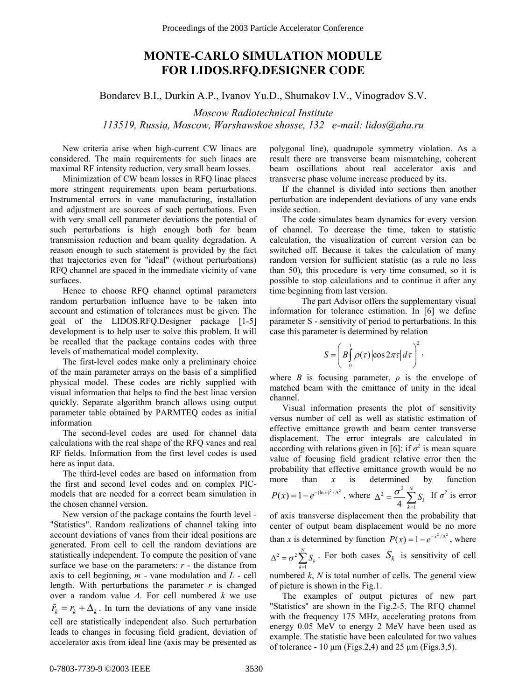## **MONTE-CARLO SIMULATION MODULE FOR LIDOS.RFQ.DESIGNER CODE**

Bondarev B.I., Durkin A.P., Ivanov Yu.D., Shumakov I.V., Vinogradov S.V.

*Moscow Radiotechnical Institute* 

*113519, Russia, Moscow, Warshawskoe shosse, 132 e-mail: lidos@aha.ru* 

New criteria arise when high-current CW linacs are considered. The main requirements for such linacs are maximal RF intensity reduction, very small beam losses.

Minimization of CW beam losses in RFQ linac places more stringent requirements upon beam perturbations. Instrumental errors in vane manufacturing, installation and adjustment are sources of such perturbations. Even with very small cell parameter deviations the potential of such perturbations is high enough both for beam transmission reduction and beam quality degradation. A reason enough to such statement is provided by the fact that trajectories even for "ideal" (without perturbations) RFQ channel are spaced in the immediate vicinity of vane surfaces.

Hence to choose RFQ channel optimal parameters random perturbation influence have to be taken into account and estimation of tolerances must be given. The goal of the LIDOS.RFQ.Designer package [1-5] development is to help user to solve this problem. It will be recalled that the package contains codes with three levels of mathematical model complexity.

The first-level codes make only a preliminary choice of the main parameter arrays on the basis of a simplified physical model. These codes are richly supplied with visual information that helps to find the best linac version quickly. Separate algorithm branch allows using output parameter table obtained by PARMTEQ codes as initial information

The second-level codes are used for channel data calculations with the real shape of the RFQ vanes and real RF fields. Information from the first level codes is used here as input data.

The third-level codes are based on information from the first and second level codes and on complex PICmodels that are needed for a correct beam simulation in the chosen channel version.

New version of the package contains the fourth level - "Statistics". Random realizations of channel taking into account deviations of vanes from their ideal positions are generated. From cell to cell the random deviations are statistically independent. To compute the position of vane surface we base on the parameters:  $r$  - the distance from axis to cell beginning, *m* - vane modulation and *L* - cell length. With perturbations the parameter *r* is changed over a random value *∆*. For cell numbered *k* we use  $\tilde{r}_k = r_k + \Delta_k$ . In turn the deviations of any vane inside cell are statistically independent also. Such perturbation leads to changes in focusing field gradient, deviation of accelerator axis from ideal line (axis may be presented as polygonal line), quadrupole symmetry violation. As a result there are transverse beam mismatching, coherent beam oscillations about real accelerator axis and transverse phase volume increase produced by its.

If the channel is divided into sections then another perturbation are independent deviations of any vane ends inside section.

The code simulates beam dynamics for every version of channel. To decrease the time, taken to statistic calculation, the visualization of current version can be switched off. Because it takes the calculation of many random version for sufficient statistic (as a rule no less than 50), this procedure is very time consumed, so it is possible to stop calculations and to continue it after any time beginning from last version.

 The part Advisor offers the supplementary visual information for tolerance estimation. In [6] we define parameter S - sensitivity of period to perturbations. In this case this parameter is determined by relation

$$
S = \left(B\int_{0}^{1} \rho(\tau) \left|\cos 2\pi \tau\right| d\tau\right)^{2},
$$

where *B* is focusing parameter,  $\rho$  is the envelope of matched beam with the emittance of unity in the ideal channel.

Visual information presents the plot of sensitivity versus number of cell as well as statistic estimation of effective emittance growth and beam center transverse displacement. The error integrals are calculated in according with relations given in [6]: if  $\sigma^2$  is mean square value of focusing field gradient relative error then the probability that effective emittance growth would be no more than *x* is determined by function *N*

$$
P(x) = 1 - e^{-(\ln x)^2/\Delta^2}, \text{ where } \Delta^2 = \frac{\sigma^2}{4} \sum_{k=1}^N S_k \text{ If } \sigma^2 \text{ is error}
$$

of axis transverse displacement then the probability that center of output beam displacement would be no more than *x* is determined by function  $P(x) = 1 - e^{-x^2/\Delta^2}$ , where  $2 - 2$ 1 *N*  $\sum_{k=1}^{\infty}$  $\sigma^2 \sum S$  $\Delta^2 = \sigma^2 \sum_{k=1}^{N} S_k$ . For both cases  $S_k$  is sensitivity of cell numbered *k*, *N* is total number of cells. The general view

of picture is shown in the Fig.1.

The examples of output pictures of new part "Statistics" are shown in the Fig.2-5. The RFQ channel with the frequency 175 MHz, accelerating protons from energy 0.05 MeV to energy 2 MeV have been used as example. The statistic have been calculated for two values of tolerance - 10  $\mu$ m (Figs.2,4) and 25  $\mu$ m (Figs.3,5).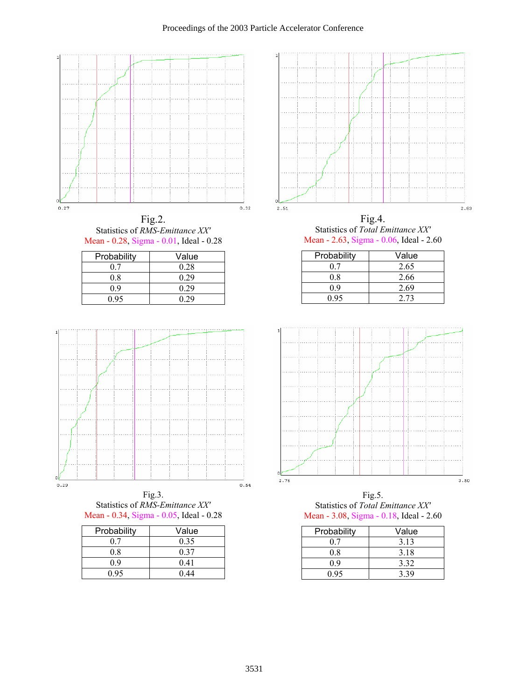

Fig.2. Statistics of *RMS-Emittance XX'* Mean - 0.28, Sigma - 0.01, Ideal - 0.28

| Probability | Value |
|-------------|-------|
|             | 0.28  |
| 08          | 0.29  |
| 09          | 0.29  |
| 0.95        |       |



Fig.3. Statistics of *RMS-Emittance XX'* Mean - 0.34, Sigma - 0.05, Ideal - 0.28

| Probability | Value |
|-------------|-------|
| በ 7         | 0.35  |
| 08          | 0.37  |
| 0 ዓ         | 0.41  |
| 0 95        | 0 44  |



Statistics of *Total Emittance XX'* Mean - 2.63, Sigma - 0.06, Ideal - 2.60

| Probability     | Value |
|-----------------|-------|
| $\eta$ $\gamma$ | 2.65  |
| 0 8             | 2.66  |
| 0 ዓ             | 2.69  |
| 0.95            | 2.73  |



Fig.5. Statistics of *Total Emittance XX'* Mean - 3.08, Sigma - 0.18, Ideal - 2.60

| Probability | Value |
|-------------|-------|
| 07          | 3.13  |
| 08          | 3.18  |
| 09          | 3.32  |
| 0 95        | 3.39  |